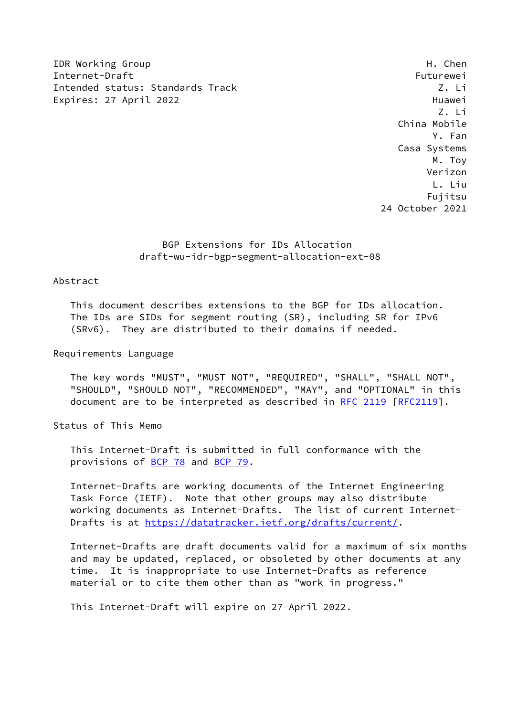IDR Working Group **H. Chender Communist Communist Communist Communist Communist Communist Communist Communist Communist Communist Communist Communist Communist Communist Communist Communist Communist Communist Communist Co** Internet-Draft Futurewei Intended status: Standards Track Z. Li Expires: 27 April 2022 and the state of the Huawei Huawei

 Z. Li China Mobile Y. Fan Casa Systems M. Toy Verizon L. Liu Fujitsu 24 October 2021

# BGP Extensions for IDs Allocation draft-wu-idr-bgp-segment-allocation-ext-08

## Abstract

 This document describes extensions to the BGP for IDs allocation. The IDs are SIDs for segment routing (SR), including SR for IPv6 (SRv6). They are distributed to their domains if needed.

Requirements Language

 The key words "MUST", "MUST NOT", "REQUIRED", "SHALL", "SHALL NOT", "SHOULD", "SHOULD NOT", "RECOMMENDED", "MAY", and "OPTIONAL" in this document are to be interpreted as described in [RFC 2119 \[RFC2119](https://datatracker.ietf.org/doc/pdf/rfc2119)].

Status of This Memo

 This Internet-Draft is submitted in full conformance with the provisions of [BCP 78](https://datatracker.ietf.org/doc/pdf/bcp78) and [BCP 79](https://datatracker.ietf.org/doc/pdf/bcp79).

 Internet-Drafts are working documents of the Internet Engineering Task Force (IETF). Note that other groups may also distribute working documents as Internet-Drafts. The list of current Internet Drafts is at<https://datatracker.ietf.org/drafts/current/>.

 Internet-Drafts are draft documents valid for a maximum of six months and may be updated, replaced, or obsoleted by other documents at any time. It is inappropriate to use Internet-Drafts as reference material or to cite them other than as "work in progress."

This Internet-Draft will expire on 27 April 2022.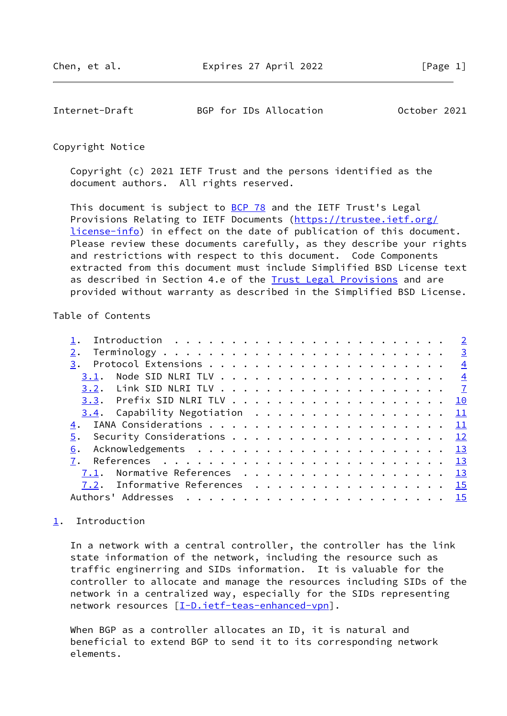<span id="page-1-1"></span>Internet-Draft BGP for IDs Allocation October 2021

Copyright Notice

 Copyright (c) 2021 IETF Trust and the persons identified as the document authors. All rights reserved.

This document is subject to **[BCP 78](https://datatracker.ietf.org/doc/pdf/bcp78)** and the IETF Trust's Legal Provisions Relating to IETF Documents ([https://trustee.ietf.org/](https://trustee.ietf.org/license-info) [license-info](https://trustee.ietf.org/license-info)) in effect on the date of publication of this document. Please review these documents carefully, as they describe your rights and restrictions with respect to this document. Code Components extracted from this document must include Simplified BSD License text as described in Section 4.e of the [Trust Legal Provisions](https://trustee.ietf.org/license-info) and are provided without warranty as described in the Simplified BSD License.

### Table of Contents

|                                  | $\overline{2}$  |
|----------------------------------|-----------------|
|                                  | $\overline{3}$  |
| 3.                               | $\frac{4}{1}$   |
| 3.1.                             | $\frac{4}{3}$   |
|                                  |                 |
|                                  | 10              |
|                                  | 11              |
| 4.                               | 11              |
| Security Considerations 12<br>5. |                 |
| 6.                               | $\overline{13}$ |
|                                  | 13              |
| Normative References 13<br>7.1.  |                 |
| 7.2. Informative References      | <b>15</b>       |
| Authors' Addresses               | 15              |
|                                  |                 |

# <span id="page-1-0"></span>[1](#page-1-0). Introduction

 In a network with a central controller, the controller has the link state information of the network, including the resource such as traffic enginerring and SIDs information. It is valuable for the controller to allocate and manage the resources including SIDs of the network in a centralized way, especially for the SIDs representing network resources [[I-D.ietf-teas-enhanced-vpn\]](#page-16-1).

 When BGP as a controller allocates an ID, it is natural and beneficial to extend BGP to send it to its corresponding network elements.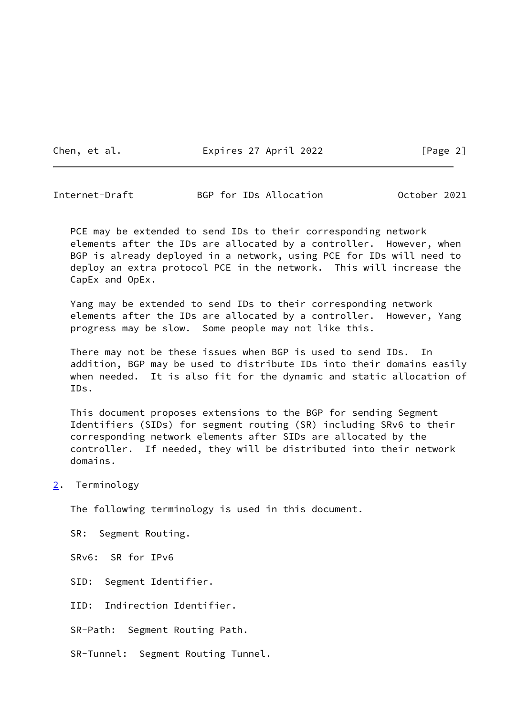Chen, et al. **Expires 27 April 2022** [Page 2]

<span id="page-2-1"></span>Internet-Draft BGP for IDs Allocation October 2021

PCE may be extended to send IDs to their corresponding network elements after the IDs are allocated by a controller. However, when BGP is already deployed in a network, using PCE for IDs will need to deploy an extra protocol PCE in the network. This will increase the CapEx and OpEx.

 Yang may be extended to send IDs to their corresponding network elements after the IDs are allocated by a controller. However, Yang progress may be slow. Some people may not like this.

 There may not be these issues when BGP is used to send IDs. In addition, BGP may be used to distribute IDs into their domains easily when needed. It is also fit for the dynamic and static allocation of IDs.

 This document proposes extensions to the BGP for sending Segment Identifiers (SIDs) for segment routing (SR) including SRv6 to their corresponding network elements after SIDs are allocated by the controller. If needed, they will be distributed into their network domains.

<span id="page-2-0"></span>[2](#page-2-0). Terminology

The following terminology is used in this document.

SR: Segment Routing.

SRv6: SR for IPv6

SID: Segment Identifier.

IID: Indirection Identifier.

SR-Path: Segment Routing Path.

SR-Tunnel: Segment Routing Tunnel.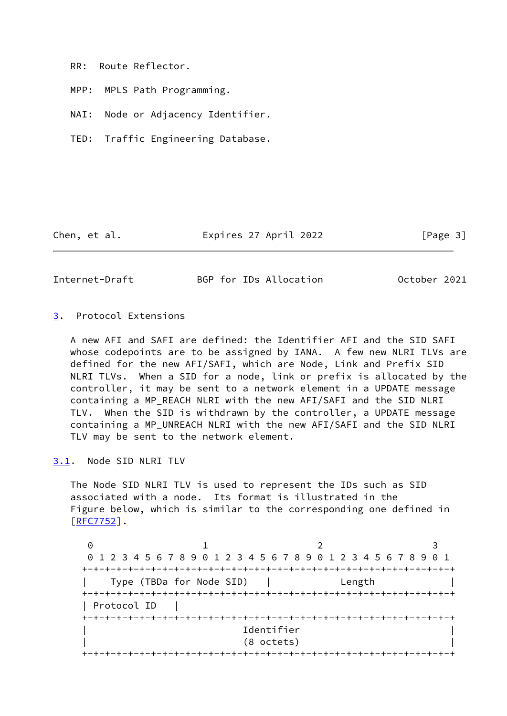RR: Route Reflector.

MPP: MPLS Path Programming.

NAI: Node or Adjacency Identifier.

TED: Traffic Engineering Database.

Chen, et al. Expires 27 April 2022 [Page 3]

<span id="page-3-1"></span>Internet-Draft BGP for IDs Allocation October 2021

### <span id="page-3-0"></span>[3](#page-3-0). Protocol Extensions

 A new AFI and SAFI are defined: the Identifier AFI and the SID SAFI whose codepoints are to be assigned by IANA. A few new NLRI TLVs are defined for the new AFI/SAFI, which are Node, Link and Prefix SID NLRI TLVs. When a SID for a node, link or prefix is allocated by the controller, it may be sent to a network element in a UPDATE message containing a MP\_REACH NLRI with the new AFI/SAFI and the SID NLRI TLV. When the SID is withdrawn by the controller, a UPDATE message containing a MP\_UNREACH NLRI with the new AFI/SAFI and the SID NLRI TLV may be sent to the network element.

<span id="page-3-2"></span>[3.1](#page-3-2). Node SID NLRI TLV

 The Node SID NLRI TLV is used to represent the IDs such as SID associated with a node. Its format is illustrated in the Figure below, which is similar to the corresponding one defined in [\[RFC7752](https://datatracker.ietf.org/doc/pdf/rfc7752)].

0 1 2 3 0 1 2 3 4 5 6 7 8 9 0 1 2 3 4 5 6 7 8 9 0 1 2 3 4 5 6 7 8 9 0 1 +-+-+-+-+-+-+-+-+-+-+-+-+-+-+-+-+-+-+-+-+-+-+-+-+-+-+-+-+-+-+-+-+ | Type (TBDa for Node SID) | Length | +-+-+-+-+-+-+-+-+-+-+-+-+-+-+-+-+-+-+-+-+-+-+-+-+-+-+-+-+-+-+-+-+ | Protocol ID | +-+-+-+-+-+-+-+-+-+-+-+-+-+-+-+-+-+-+-+-+-+-+-+-+-+-+-+-+-+-+-+-+ | Identifier | | (8 octets) | +-+-+-+-+-+-+-+-+-+-+-+-+-+-+-+-+-+-+-+-+-+-+-+-+-+-+-+-+-+-+-+-+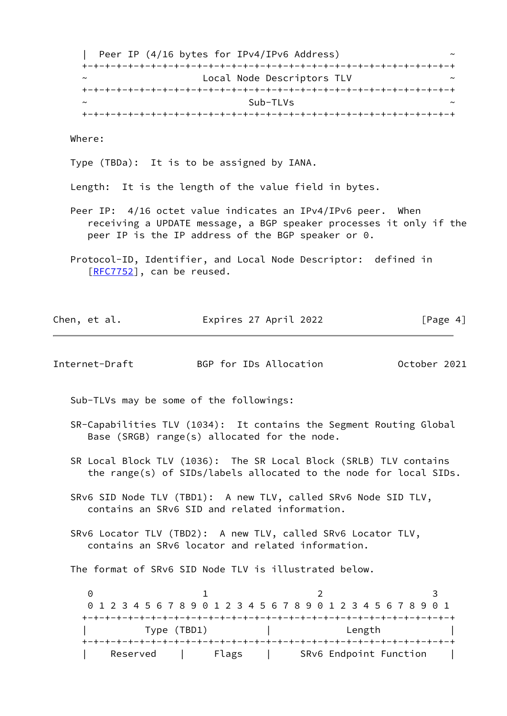| Peer IP (4/16 bytes for IPv4/IPv6 Address) ~ +-+-+-+-+-+-+-+-+-+-+-+-+-+-+-+-+-+-+-+-+-+-+-+-+-+-+-+-+-+-+-+-+ Local Node Descriptors TLV +-+-+-+-+-+-+-+-+-+-+-+-+-+-+-+-+-+-+-+-+-+-+-+-+-+-+-+-+-+-+-+-+  $\sim$  Sub-TLVs  $\sim$ +-+-+-+-+-+-+-+-+-+-+-+-+-+-+-+-+-+-+-+-+-+-+-+-+-+-+-+-+-+-+-+-+

Where:

Type (TBDa): It is to be assigned by IANA.

Length: It is the length of the value field in bytes.

- Peer IP: 4/16 octet value indicates an IPv4/IPv6 peer. When receiving a UPDATE message, a BGP speaker processes it only if the peer IP is the IP address of the BGP speaker or 0.
- Protocol-ID, Identifier, and Local Node Descriptor: defined in [[RFC7752\]](https://datatracker.ietf.org/doc/pdf/rfc7752), can be reused.

Chen, et al. **Expires 27 April 2022** [Page 4]

| Internet-Draft                                                                                                                         | BGP for IDs Allocation |  | October 2021 |  |
|----------------------------------------------------------------------------------------------------------------------------------------|------------------------|--|--------------|--|
| Sub-TLVs may be some of the followings:                                                                                                |                        |  |              |  |
| SR-Capabilities TLV (1034): It contains the Segment Routing Global<br>Base (SRGB) range(s) allocated for the node.                     |                        |  |              |  |
| SR Local Block TLV (1036): The SR Local Block (SRLB) TLV contains<br>the range(s) of SIDs/labels allocated to the node for local SIDs. |                        |  |              |  |
| SRv6 SID Node TLV (TBD1): A new TLV, called SRv6 Node SID TLV,                                                                         |                        |  |              |  |

- contains an SRv6 SID and related information.
- SRv6 Locator TLV (TBD2): A new TLV, called SRv6 Locator TLV, contains an SRv6 locator and related information.

The format of SRv6 SID Node TLV is illustrated below.

0 1 2 3 0 1 2 3 4 5 6 7 8 9 0 1 2 3 4 5 6 7 8 9 0 1 2 3 4 5 6 7 8 9 0 1 +-+-+-+-+-+-+-+-+-+-+-+-+-+-+-+-+-+-+-+-+-+-+-+-+-+-+-+-+-+-+-+-+ | Type (TBD1) | Length | +-+-+-+-+-+-+-+-+-+-+-+-+-+-+-+-+-+-+-+-+-+-+-+-+-+-+-+-+-+-+-+-+ | Reserved | Flags | SRv6 Endpoint Function |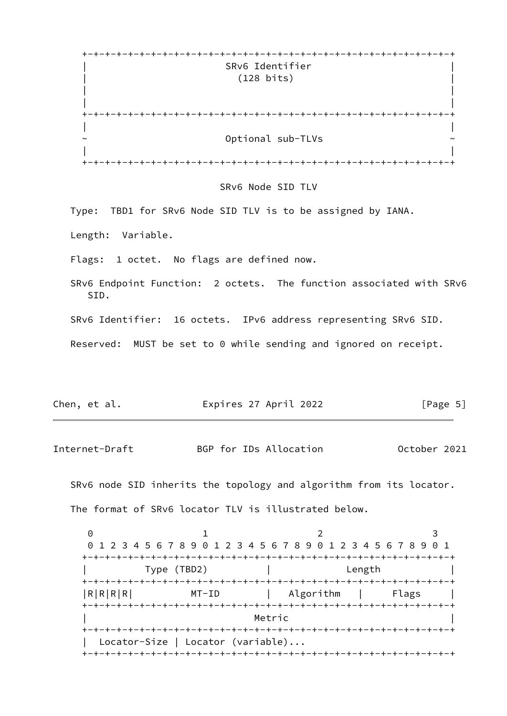| $\div$ |                      |
|--------|----------------------|
|        | SRv6 Identifier      |
|        | $(128 \text{ bits})$ |
|        |                      |
|        |                      |
| $+$    |                      |
|        |                      |
| $\sim$ | Optional sub-TLVs    |
|        |                      |
| $\div$ |                      |

#### SRv6 Node SID TLV

Type: TBD1 for SRv6 Node SID TLV is to be assigned by IANA.

Length: Variable.

Flags: 1 octet. No flags are defined now.

 SRv6 Endpoint Function: 2 octets. The function associated with SRv6 SID.

SRv6 Identifier: 16 octets. IPv6 address representing SRv6 SID.

Reserved: MUST be set to 0 while sending and ignored on receipt.

| Expires 27 April 2022<br>Chen, et al. | [Page 5] |
|---------------------------------------|----------|
|---------------------------------------|----------|

Internet-Draft BGP for IDs Allocation October 2021

 SRv6 node SID inherits the topology and algorithm from its locator. The format of SRv6 locator TLV is illustrated below.

0 1 2 3 0 1 2 3 4 5 6 7 8 9 0 1 2 3 4 5 6 7 8 9 0 1 2 3 4 5 6 7 8 9 0 1 +-+-+-+-+-+-+-+-+-+-+-+-+-+-+-+-+-+-+-+-+-+-+-+-+-+-+-+-+-+-+-+-+ | Type (TBD2) | Length | +-+-+-+-+-+-+-+-+-+-+-+-+-+-+-+-+-+-+-+-+-+-+-+-+-+-+-+-+-+-+-+-+ |R|R|R|R| MT-ID | Algorithm | Flags +-+-+-+-+-+-+-+-+-+-+-+-+-+-+-+-+-+-+-+-+-+-+-+-+-+-+-+-+-+-+-+-+ | Metric | Metric | Network | Network | Network | Network | Network | Network | Network | Network | Network | N +-+-+-+-+-+-+-+-+-+-+-+-+-+-+-+-+-+-+-+-+-+-+-+-+-+-+-+-+-+-+-+-+ Locator-Size | Locator (variable)... +-+-+-+-+-+-+-+-+-+-+-+-+-+-+-+-+-+-+-+-+-+-+-+-+-+-+-+-+-+-+-+-+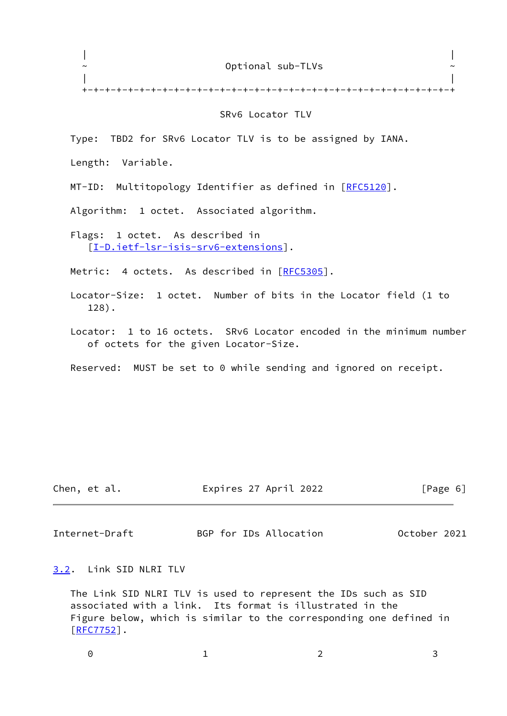| $\sim$ | Optional sub-TLVs | $\sim$ |
|--------|-------------------|--------|
|        |                   |        |
|        |                   |        |

### SRv6 Locator TLV

Type: TBD2 for SRv6 Locator TLV is to be assigned by IANA.

Length: Variable.

MT-ID: Multitopology Identifier as defined in [\[RFC5120](https://datatracker.ietf.org/doc/pdf/rfc5120)].

Algorithm: 1 octet. Associated algorithm.

 Flags: 1 octet. As described in [[I-D.ietf-lsr-isis-srv6-extensions\]](#page-14-0).

Metric: 4 octets. As described in [\[RFC5305](https://datatracker.ietf.org/doc/pdf/rfc5305)].

 Locator-Size: 1 octet. Number of bits in the Locator field (1 to 128).

 Locator: 1 to 16 octets. SRv6 Locator encoded in the minimum number of octets for the given Locator-Size.

Reserved: MUST be set to 0 while sending and ignored on receipt.

Chen, et al. Expires 27 April 2022 [Page 6]

<span id="page-6-1"></span>Internet-Draft BGP for IDs Allocation October 2021

<span id="page-6-0"></span>[3.2](#page-6-0). Link SID NLRI TLV

 The Link SID NLRI TLV is used to represent the IDs such as SID associated with a link. Its format is illustrated in the Figure below, which is similar to the corresponding one defined in [\[RFC7752](https://datatracker.ietf.org/doc/pdf/rfc7752)].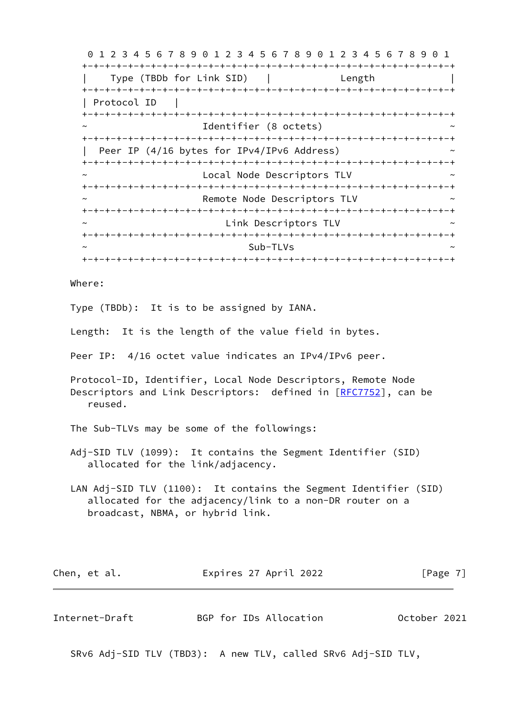0 1 2 3 4 5 6 7 8 9 0 1 2 3 4 5 6 7 8 9 0 1 2 3 4 5 6 7 8 9 0 1 +-+-+-+-+-+-+-+-+-+-+-+-+-+-+-+-+-+-+-+-+-+-+-+-+-+-+-+-+-+-+-+-+ | Type (TBDb for Link SID) | Length | +-+-+-+-+-+-+-+-+-+-+-+-+-+-+-+-+-+-+-+-+-+-+-+-+-+-+-+-+-+-+-+-+ | Protocol ID | +-+-+-+-+-+-+-+-+-+-+-+-+-+-+-+-+-+-+-+-+-+-+-+-+-+-+-+-+-+-+-+-+ Identifier (8 octets) +-+-+-+-+-+-+-+-+-+-+-+-+-+-+-+-+-+-+-+-+-+-+-+-+-+-+-+-+-+-+-+-+ | Peer IP (4/16 bytes for IPv4/IPv6 Address) +-+-+-+-+-+-+-+-+-+-+-+-+-+-+-+-+-+-+-+-+-+-+-+-+-+-+-+-+-+-+-+-+ Local Node Descriptors TLV +-+-+-+-+-+-+-+-+-+-+-+-+-+-+-+-+-+-+-+-+-+-+-+-+-+-+-+-+-+-+-+-+ Remote Node Descriptors TLV +-+-+-+-+-+-+-+-+-+-+-+-+-+-+-+-+-+-+-+-+-+-+-+-+-+-+-+-+-+-+-+-+ Link Descriptors TLV +-+-+-+-+-+-+-+-+-+-+-+-+-+-+-+-+-+-+-+-+-+-+-+-+-+-+-+-+-+-+-+-+  $\sim$  Sub-TLVs  $\sim$ +-+-+-+-+-+-+-+-+-+-+-+-+-+-+-+-+-+-+-+-+-+-+-+-+-+-+-+-+-+-+-+-+

Where:

Type (TBDb): It is to be assigned by IANA.

Length: It is the length of the value field in bytes.

Peer IP: 4/16 octet value indicates an IPv4/IPv6 peer.

 Protocol-ID, Identifier, Local Node Descriptors, Remote Node Descriptors and Link Descriptors: defined in [[RFC7752](https://datatracker.ietf.org/doc/pdf/rfc7752)], can be reused.

The Sub-TLVs may be some of the followings:

 Adj-SID TLV (1099): It contains the Segment Identifier (SID) allocated for the link/adjacency.

 LAN Adj-SID TLV (1100): It contains the Segment Identifier (SID) allocated for the adjacency/link to a non-DR router on a broadcast, NBMA, or hybrid link.

| Chen, et al. | Expires 27 April 2022 | [Page 7] |
|--------------|-----------------------|----------|
|--------------|-----------------------|----------|

| Internet-Draft |  | BGP for IDs Allocation | October 2021 |  |
|----------------|--|------------------------|--------------|--|
|                |  |                        |              |  |

SRv6 Adj-SID TLV (TBD3): A new TLV, called SRv6 Adj-SID TLV,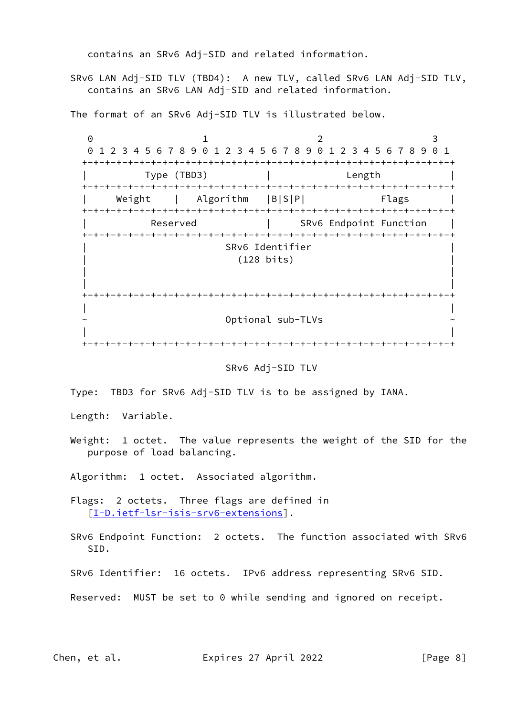contains an SRv6 Adj-SID and related information.

 SRv6 LAN Adj-SID TLV (TBD4): A new TLV, called SRv6 LAN Adj-SID TLV, contains an SRv6 LAN Adj-SID and related information.

The format of an SRv6 Adj-SID TLV is illustrated below.

0 1 2 3 0 1 2 3 4 5 6 7 8 9 0 1 2 3 4 5 6 7 8 9 0 1 2 3 4 5 6 7 8 9 0 1 +-+-+-+-+-+-+-+-+-+-+-+-+-+-+-+-+-+-+-+-+-+-+-+-+-+-+-+-+-+-+-+-+ | Type (TBD3) | Length | +-+-+-+-+-+-+-+-+-+-+-+-+-+-+-+-+-+-+-+-+-+-+-+-+-+-+-+-+-+-+-+-+ Weight | Algorithm |B|S|P| Flags +-+-+-+-+-+-+-+-+-+-+-+-+-+-+-+-+-+-+-+-+-+-+-+-+-+-+-+-+-+-+-+-+ Reserved | SRv6 Endpoint Function +-+-+-+-+-+-+-+-+-+-+-+-+-+-+-+-+-+-+-+-+-+-+-+-+-+-+-+-+-+-+-+-+ | SRv6 Identifier | | (128 bits) | | | | | +-+-+-+-+-+-+-+-+-+-+-+-+-+-+-+-+-+-+-+-+-+-+-+-+-+-+-+-+-+-+-+-+ | | ~ Optional sub-TLVs ~ | | +-+-+-+-+-+-+-+-+-+-+-+-+-+-+-+-+-+-+-+-+-+-+-+-+-+-+-+-+-+-+-+-+

SRv6 Adj-SID TLV

Type: TBD3 for SRv6 Adj-SID TLV is to be assigned by IANA.

Length: Variable.

 Weight: 1 octet. The value represents the weight of the SID for the purpose of load balancing.

Algorithm: 1 octet. Associated algorithm.

 Flags: 2 octets. Three flags are defined in [[I-D.ietf-lsr-isis-srv6-extensions\]](#page-14-0).

 SRv6 Endpoint Function: 2 octets. The function associated with SRv6 SID.

SRv6 Identifier: 16 octets. IPv6 address representing SRv6 SID.

Reserved: MUST be set to 0 while sending and ignored on receipt.

Chen, et al. **Expires 27 April 2022** [Page 8]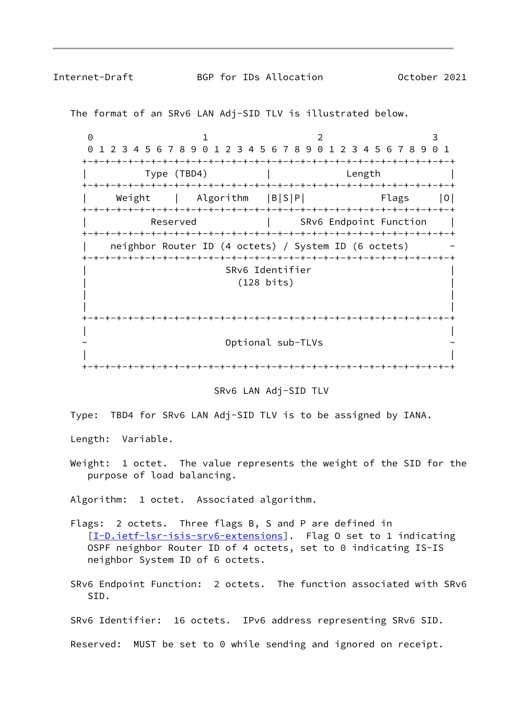The format of an SRv6 LAN Adj-SID TLV is illustrated below.

0 1 2 3 0 1 2 3 4 5 6 7 8 9 0 1 2 3 4 5 6 7 8 9 0 1 2 3 4 5 6 7 8 9 0 1 +-+-+-+-+-+-+-+-+-+-+-+-+-+-+-+-+-+-+-+-+-+-+-+-+-+-+-+-+-+-+-+-+ | Type (TBD4) | Length | +-+-+-+-+-+-+-+-+-+-+-+-+-+-+-+-+-+-+-+-+-+-+-+-+-+-+-+-+-+-+-+-+ Weight | Algorithm |B|S|P| Flags |O| +-+-+-+-+-+-+-+-+-+-+-+-+-+-+-+-+-+-+-+-+-+-+-+-+-+-+-+-+-+-+-+-+ Reserved | SRv6 Endpoint Function +-+-+-+-+-+-+-+-+-+-+-+-+-+-+-+-+-+-+-+-+-+-+-+-+-+-+-+-+-+-+-+-+ neighbor Router ID (4 octets) / System ID (6 octets) +-+-+-+-+-+-+-+-+-+-+-+-+-+-+-+-+-+-+-+-+-+-+-+-+-+-+-+-+-+-+-+-+ | SRv6 Identifier | | (128 bits) | | | | | +-+-+-+-+-+-+-+-+-+-+-+-+-+-+-+-+-+-+-+-+-+-+-+-+-+-+-+-+-+-+-+-+ | | Optional sub-TLVs | | +-+-+-+-+-+-+-+-+-+-+-+-+-+-+-+-+-+-+-+-+-+-+-+-+-+-+-+-+-+-+-+-+



Type: TBD4 for SRv6 LAN Adj-SID TLV is to be assigned by IANA.

Length: Variable.

Weight: 1 octet. The value represents the weight of the SID for the purpose of load balancing.

Algorithm: 1 octet. Associated algorithm.

- Flags: 2 octets. Three flags B, S and P are defined in [[I-D.ietf-lsr-isis-srv6-extensions\]](#page-14-0). Flag 0 set to 1 indicating OSPF neighbor Router ID of 4 octets, set to 0 indicating IS-IS neighbor System ID of 6 octets.
- SRv6 Endpoint Function: 2 octets. The function associated with SRv6 SID.

SRv6 Identifier: 16 octets. IPv6 address representing SRv6 SID.

Reserved: MUST be set to 0 while sending and ignored on receipt.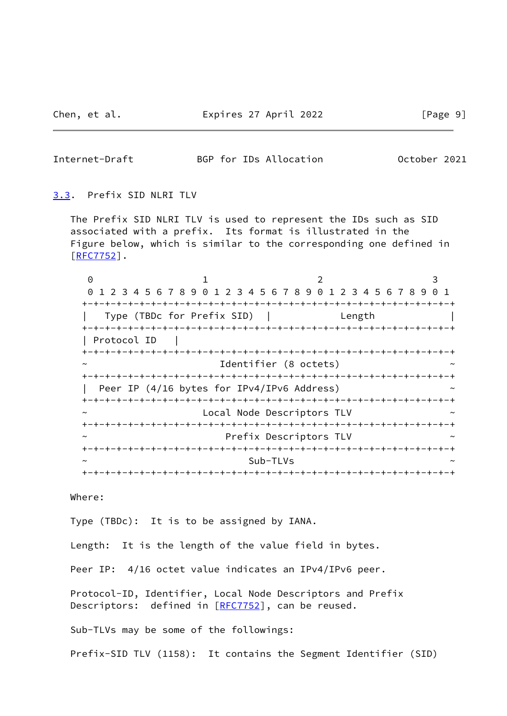<span id="page-10-1"></span>Internet-Draft BGP for IDs Allocation October 2021

### <span id="page-10-0"></span>[3.3](#page-10-0). Prefix SID NLRI TLV

 The Prefix SID NLRI TLV is used to represent the IDs such as SID associated with a prefix. Its format is illustrated in the Figure below, which is similar to the corresponding one defined in [\[RFC7752](https://datatracker.ietf.org/doc/pdf/rfc7752)].

| $\Theta$    |                                                           |                        |        | 3     |
|-------------|-----------------------------------------------------------|------------------------|--------|-------|
|             | 1 2 3 4 5 6 7 8 9 0 1 2 3 4 5 6 7 8 9 0 1 2 3 4 5 6 7 8 9 |                        |        | . ი 1 |
|             |                                                           |                        |        |       |
|             | Type (TBDc for Prefix SID)                                |                        | Length |       |
|             |                                                           |                        |        |       |
| Protocol ID |                                                           |                        |        |       |
|             |                                                           |                        |        |       |
| $\sim$      |                                                           | Identifier (8 octets)  |        |       |
|             |                                                           |                        |        |       |
|             | Peer IP (4/16 bytes for IPv4/IPv6 Address)                |                        |        |       |
|             | -+-+-+-+-+-+-+-+-+-+                                      |                        |        |       |
| $\sim$      | Local Node Descriptors TLV                                |                        |        |       |
|             |                                                           |                        |        |       |
| $\tilde{}$  |                                                           | Prefix Descriptors TLV |        |       |
|             |                                                           |                        |        |       |
| $\tilde{}$  |                                                           | Sub-TLVs               |        |       |
|             |                                                           |                        |        |       |

Where:

Type (TBDc): It is to be assigned by IANA.

Length: It is the length of the value field in bytes.

Peer IP: 4/16 octet value indicates an IPv4/IPv6 peer.

 Protocol-ID, Identifier, Local Node Descriptors and Prefix Descriptors: defined in [\[RFC7752](https://datatracker.ietf.org/doc/pdf/rfc7752)], can be reused.

Sub-TLVs may be some of the followings:

Prefix-SID TLV (1158): It contains the Segment Identifier (SID)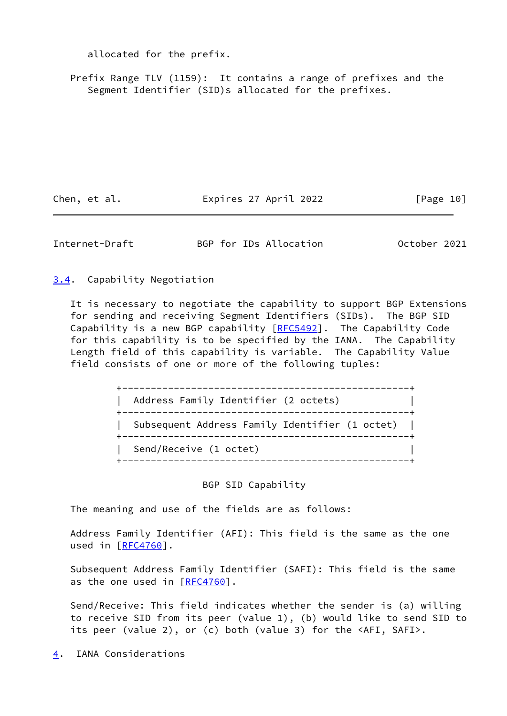allocated for the prefix.

Prefix Range TLV (1159): It contains a range of prefixes and the Segment Identifier (SID)s allocated for the prefixes.

Chen, et al. **Expires 27 April 2022** [Page 10]

<span id="page-11-1"></span>

Internet-Draft BGP for IDs Allocation October 2021

<span id="page-11-0"></span>[3.4](#page-11-0). Capability Negotiation

 It is necessary to negotiate the capability to support BGP Extensions for sending and receiving Segment Identifiers (SIDs). The BGP SID Capability is a new BGP capability [[RFC5492\]](https://datatracker.ietf.org/doc/pdf/rfc5492). The Capability Code for this capability is to be specified by the IANA. The Capability Length field of this capability is variable. The Capability Value field consists of one or more of the following tuples:

> +--------------------------------------------------+ | Address Family Identifier (2 octets) | +--------------------------------------------------+ | Subsequent Address Family Identifier (1 octet) | +--------------------------------------------------+ | Send/Receive (1 octet) | +--------------------------------------------------+

> > BGP SID Capability

The meaning and use of the fields are as follows:

 Address Family Identifier (AFI): This field is the same as the one used in [\[RFC4760](https://datatracker.ietf.org/doc/pdf/rfc4760)].

 Subsequent Address Family Identifier (SAFI): This field is the same as the one used in  $[RFC4760]$  $[RFC4760]$ .

 Send/Receive: This field indicates whether the sender is (a) willing to receive SID from its peer (value 1), (b) would like to send SID to its peer (value 2), or (c) both (value 3) for the <AFI, SAFI>.

<span id="page-11-2"></span>[4](#page-11-2). IANA Considerations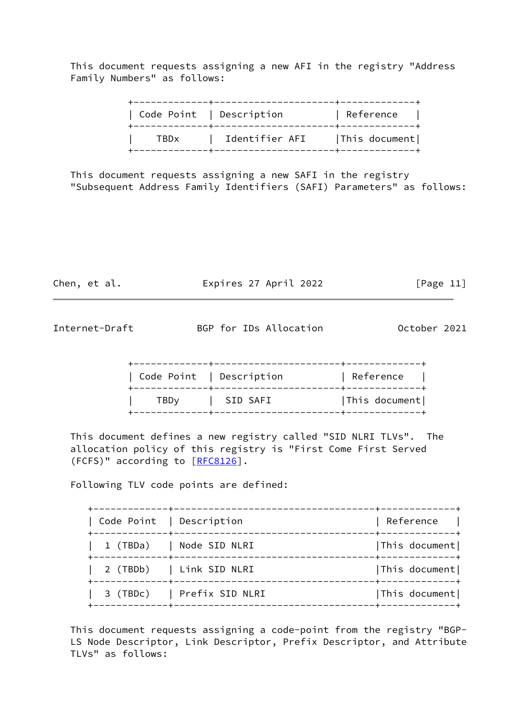This document requests assigning a new AFI in the registry "Address Family Numbers" as follows:

|      | Code Point   Description | Reference     |
|------|--------------------------|---------------|
| TBDx | Identifier AFI           | This document |

 This document requests assigning a new SAFI in the registry "Subsequent Address Family Identifiers (SAFI) Parameters" as follows:

Chen, et al. **Expires 27 April 2022** [Page 11]

<span id="page-12-0"></span>Internet-Draft BGP for IDs Allocation October 2021

|                         | Code Point   Description | Reference     |
|-------------------------|--------------------------|---------------|
| <b>TBD</b> <sub>v</sub> | SID SAFI                 | This document |

 This document defines a new registry called "SID NLRI TLVs". The allocation policy of this registry is "First Come First Served (FCFS)" according to [\[RFC8126](https://datatracker.ietf.org/doc/pdf/rfc8126)].

Following TLV code points are defined:

| Code Point   Description |                            | Reference     |
|--------------------------|----------------------------|---------------|
|                          | 1 (TBDa)   Node SID NLRI   | This document |
|                          | 2 (TBDb)   Link SID NLRI   | This document |
|                          | 3 (TBDc)   Prefix SID NLRI | This document |

 This document requests assigning a code-point from the registry "BGP- LS Node Descriptor, Link Descriptor, Prefix Descriptor, and Attribute TLVs" as follows: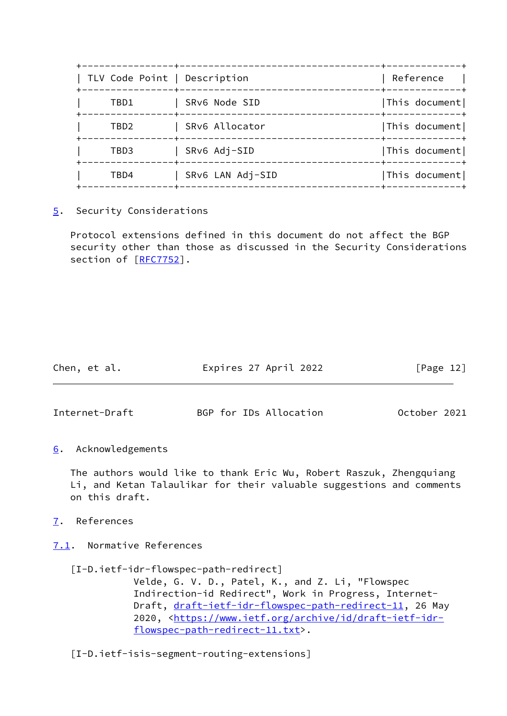|                    |                              | -----------------------------+----- |
|--------------------|------------------------------|-------------------------------------|
| ---------------+-- | TLV Code Point   Description | Reference<br>-----+------------     |
| TBD1               | SRv6 Node SID                | This document                       |
| TBD2               | SRv6 Allocator               | This document                       |
| TBD3               | SRv6 Adj-SID                 | This document                       |
| TBD4               | SRv6 LAN Adj-SID             | This document                       |

<span id="page-13-0"></span>[5](#page-13-0). Security Considerations

 Protocol extensions defined in this document do not affect the BGP security other than those as discussed in the Security Considerations section of [[RFC7752\]](https://datatracker.ietf.org/doc/pdf/rfc7752).

| Chen, et al. | Expires 27 April 2022 | [Page 12] |
|--------------|-----------------------|-----------|
|              |                       |           |

<span id="page-13-2"></span>Internet-Draft BGP for IDs Allocation October 2021

<span id="page-13-1"></span>[6](#page-13-1). Acknowledgements

 The authors would like to thank Eric Wu, Robert Raszuk, Zhengquiang Li, and Ketan Talaulikar for their valuable suggestions and comments on this draft.

<span id="page-13-3"></span>[7](#page-13-3). References

<span id="page-13-4"></span>[7.1](#page-13-4). Normative References

 [I-D.ietf-idr-flowspec-path-redirect] Velde, G. V. D., Patel, K., and Z. Li, "Flowspec Indirection-id Redirect", Work in Progress, Internet Draft, [draft-ietf-idr-flowspec-path-redirect-11](https://datatracker.ietf.org/doc/pdf/draft-ietf-idr-flowspec-path-redirect-11), 26 May 2020, [<https://www.ietf.org/archive/id/draft-ietf-idr-](https://www.ietf.org/archive/id/draft-ietf-idr-flowspec-path-redirect-11.txt)

[flowspec-path-redirect-11.txt>](https://www.ietf.org/archive/id/draft-ietf-idr-flowspec-path-redirect-11.txt).

[I-D.ietf-isis-segment-routing-extensions]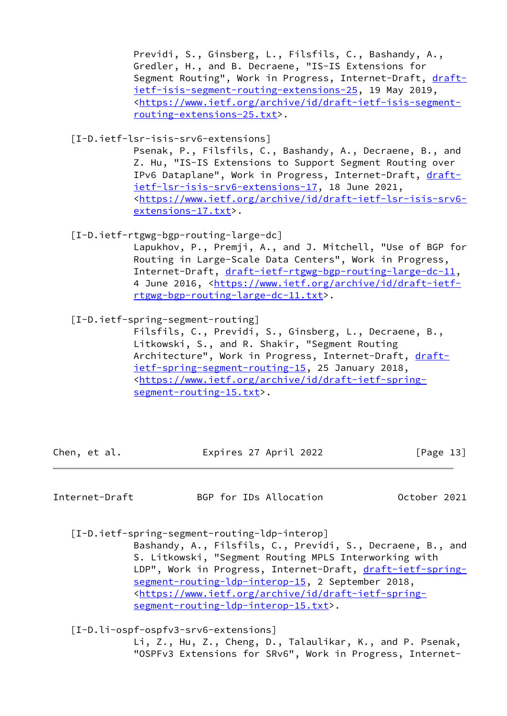Previdi, S., Ginsberg, L., Filsfils, C., Bashandy, A., Gredler, H., and B. Decraene, "IS-IS Extensions for Segment Routing", Work in Progress, Internet-Draft, [draft](https://datatracker.ietf.org/doc/pdf/draft-ietf-isis-segment-routing-extensions-25) [ietf-isis-segment-routing-extensions-25](https://datatracker.ietf.org/doc/pdf/draft-ietf-isis-segment-routing-extensions-25), 19 May 2019, <[https://www.ietf.org/archive/id/draft-ietf-isis-segment](https://www.ietf.org/archive/id/draft-ietf-isis-segment-routing-extensions-25.txt) [routing-extensions-25.txt>](https://www.ietf.org/archive/id/draft-ietf-isis-segment-routing-extensions-25.txt).

<span id="page-14-0"></span>[I-D.ietf-lsr-isis-srv6-extensions]

 Psenak, P., Filsfils, C., Bashandy, A., Decraene, B., and Z. Hu, "IS-IS Extensions to Support Segment Routing over IPv6 Dataplane", Work in Progress, Internet-Draft, [draft](https://datatracker.ietf.org/doc/pdf/draft-ietf-lsr-isis-srv6-extensions-17) [ietf-lsr-isis-srv6-extensions-17,](https://datatracker.ietf.org/doc/pdf/draft-ietf-lsr-isis-srv6-extensions-17) 18 June 2021, <[https://www.ietf.org/archive/id/draft-ietf-lsr-isis-srv6](https://www.ietf.org/archive/id/draft-ietf-lsr-isis-srv6-extensions-17.txt) [extensions-17.txt>](https://www.ietf.org/archive/id/draft-ietf-lsr-isis-srv6-extensions-17.txt).

[I-D.ietf-rtgwg-bgp-routing-large-dc]

 Lapukhov, P., Premji, A., and J. Mitchell, "Use of BGP for Routing in Large-Scale Data Centers", Work in Progress, Internet-Draft, [draft-ietf-rtgwg-bgp-routing-large-dc-11,](https://datatracker.ietf.org/doc/pdf/draft-ietf-rtgwg-bgp-routing-large-dc-11) 4 June 2016, [<https://www.ietf.org/archive/id/draft-ietf](https://www.ietf.org/archive/id/draft-ietf-rtgwg-bgp-routing-large-dc-11.txt) [rtgwg-bgp-routing-large-dc-11.txt>](https://www.ietf.org/archive/id/draft-ietf-rtgwg-bgp-routing-large-dc-11.txt).

[I-D.ietf-spring-segment-routing]

 Filsfils, C., Previdi, S., Ginsberg, L., Decraene, B., Litkowski, S., and R. Shakir, "Segment Routing Architecture", Work in Progress, Internet-Draft, [draft](https://datatracker.ietf.org/doc/pdf/draft-ietf-spring-segment-routing-15) [ietf-spring-segment-routing-15](https://datatracker.ietf.org/doc/pdf/draft-ietf-spring-segment-routing-15), 25 January 2018, <[https://www.ietf.org/archive/id/draft-ietf-spring](https://www.ietf.org/archive/id/draft-ietf-spring-segment-routing-15.txt) [segment-routing-15.txt](https://www.ietf.org/archive/id/draft-ietf-spring-segment-routing-15.txt)>.

Chen, et al. **Expires 27 April 2022** [Page 13]

Internet-Draft BGP for IDs Allocation October 2021

[I-D.ietf-spring-segment-routing-ldp-interop]

 Bashandy, A., Filsfils, C., Previdi, S., Decraene, B., and S. Litkowski, "Segment Routing MPLS Interworking with LDP", Work in Progress, Internet-Draft, [draft-ietf-spring](https://datatracker.ietf.org/doc/pdf/draft-ietf-spring-segment-routing-ldp-interop-15) [segment-routing-ldp-interop-15](https://datatracker.ietf.org/doc/pdf/draft-ietf-spring-segment-routing-ldp-interop-15), 2 September 2018, <[https://www.ietf.org/archive/id/draft-ietf-spring](https://www.ietf.org/archive/id/draft-ietf-spring-segment-routing-ldp-interop-15.txt) [segment-routing-ldp-interop-15.txt>](https://www.ietf.org/archive/id/draft-ietf-spring-segment-routing-ldp-interop-15.txt).

[I-D.li-ospf-ospfv3-srv6-extensions]

 Li, Z., Hu, Z., Cheng, D., Talaulikar, K., and P. Psenak, "OSPFv3 Extensions for SRv6", Work in Progress, Internet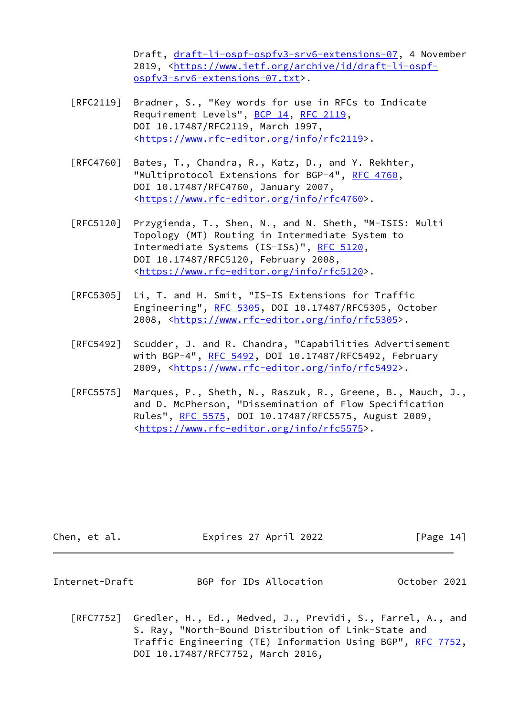Draft, [draft-li-ospf-ospfv3-srv6-extensions-07](https://datatracker.ietf.org/doc/pdf/draft-li-ospf-ospfv3-srv6-extensions-07), 4 November 2019, [<https://www.ietf.org/archive/id/draft-li-ospf](https://www.ietf.org/archive/id/draft-li-ospf-ospfv3-srv6-extensions-07.txt) [ospfv3-srv6-extensions-07.txt>](https://www.ietf.org/archive/id/draft-li-ospf-ospfv3-srv6-extensions-07.txt).

- [RFC2119] Bradner, S., "Key words for use in RFCs to Indicate Requirement Levels", [BCP 14](https://datatracker.ietf.org/doc/pdf/bcp14), [RFC 2119](https://datatracker.ietf.org/doc/pdf/rfc2119), DOI 10.17487/RFC2119, March 1997, <[https://www.rfc-editor.org/info/rfc2119>](https://www.rfc-editor.org/info/rfc2119).
- [RFC4760] Bates, T., Chandra, R., Katz, D., and Y. Rekhter, "Multiprotocol Extensions for BGP-4", [RFC 4760](https://datatracker.ietf.org/doc/pdf/rfc4760), DOI 10.17487/RFC4760, January 2007, <[https://www.rfc-editor.org/info/rfc4760>](https://www.rfc-editor.org/info/rfc4760).
- [RFC5120] Przygienda, T., Shen, N., and N. Sheth, "M-ISIS: Multi Topology (MT) Routing in Intermediate System to Intermediate Systems (IS-ISs)", [RFC 5120,](https://datatracker.ietf.org/doc/pdf/rfc5120) DOI 10.17487/RFC5120, February 2008, <[https://www.rfc-editor.org/info/rfc5120>](https://www.rfc-editor.org/info/rfc5120).
- [RFC5305] Li, T. and H. Smit, "IS-IS Extensions for Traffic Engineering", [RFC 5305](https://datatracker.ietf.org/doc/pdf/rfc5305), DOI 10.17487/RFC5305, October 2008, [<https://www.rfc-editor.org/info/rfc5305](https://www.rfc-editor.org/info/rfc5305)>.
- [RFC5492] Scudder, J. and R. Chandra, "Capabilities Advertisement with BGP-4", [RFC 5492](https://datatracker.ietf.org/doc/pdf/rfc5492), DOI 10.17487/RFC5492, February 2009, [<https://www.rfc-editor.org/info/rfc5492](https://www.rfc-editor.org/info/rfc5492)>.
- [RFC5575] Marques, P., Sheth, N., Raszuk, R., Greene, B., Mauch, J., and D. McPherson, "Dissemination of Flow Specification Rules", [RFC 5575,](https://datatracker.ietf.org/doc/pdf/rfc5575) DOI 10.17487/RFC5575, August 2009, <[https://www.rfc-editor.org/info/rfc5575>](https://www.rfc-editor.org/info/rfc5575).

<span id="page-15-0"></span>

| Chen, et al.   | Expires 27 April 2022  | [Page 14]    |
|----------------|------------------------|--------------|
| Internet-Draft | BGP for IDs Allocation | October 2021 |
|                |                        |              |

 [RFC7752] Gredler, H., Ed., Medved, J., Previdi, S., Farrel, A., and S. Ray, "North-Bound Distribution of Link-State and Traffic Engineering (TE) Information Using BGP", [RFC 7752,](https://datatracker.ietf.org/doc/pdf/rfc7752) DOI 10.17487/RFC7752, March 2016,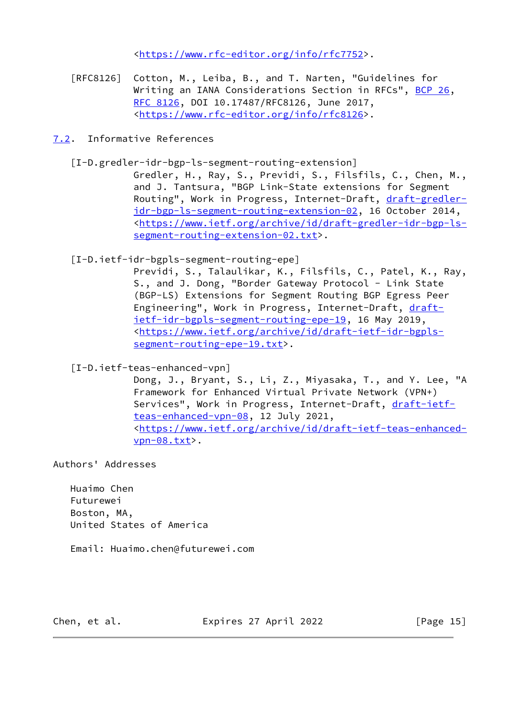<[https://www.rfc-editor.org/info/rfc7752>](https://www.rfc-editor.org/info/rfc7752).

- [RFC8126] Cotton, M., Leiba, B., and T. Narten, "Guidelines for Writing an IANA Considerations Section in RFCs", [BCP 26](https://datatracker.ietf.org/doc/pdf/bcp26), [RFC 8126,](https://datatracker.ietf.org/doc/pdf/rfc8126) DOI 10.17487/RFC8126, June 2017, <[https://www.rfc-editor.org/info/rfc8126>](https://www.rfc-editor.org/info/rfc8126).
- <span id="page-16-0"></span>[7.2](#page-16-0). Informative References
	- [I-D.gredler-idr-bgp-ls-segment-routing-extension]
		- Gredler, H., Ray, S., Previdi, S., Filsfils, C., Chen, M., and J. Tantsura, "BGP Link-State extensions for Segment Routing", Work in Progress, Internet-Draft, [draft-gredler](https://datatracker.ietf.org/doc/pdf/draft-gredler-idr-bgp-ls-segment-routing-extension-02) [idr-bgp-ls-segment-routing-extension-02](https://datatracker.ietf.org/doc/pdf/draft-gredler-idr-bgp-ls-segment-routing-extension-02), 16 October 2014, <[https://www.ietf.org/archive/id/draft-gredler-idr-bgp-ls](https://www.ietf.org/archive/id/draft-gredler-idr-bgp-ls-segment-routing-extension-02.txt) [segment-routing-extension-02.txt>](https://www.ietf.org/archive/id/draft-gredler-idr-bgp-ls-segment-routing-extension-02.txt).
	- [I-D.ietf-idr-bgpls-segment-routing-epe]
		- Previdi, S., Talaulikar, K., Filsfils, C., Patel, K., Ray, S., and J. Dong, "Border Gateway Protocol - Link State (BGP-LS) Extensions for Segment Routing BGP Egress Peer Engineering", Work in Progress, Internet-Draft, [draft](https://datatracker.ietf.org/doc/pdf/draft-ietf-idr-bgpls-segment-routing-epe-19) [ietf-idr-bgpls-segment-routing-epe-19,](https://datatracker.ietf.org/doc/pdf/draft-ietf-idr-bgpls-segment-routing-epe-19) 16 May 2019, <[https://www.ietf.org/archive/id/draft-ietf-idr-bgpls](https://www.ietf.org/archive/id/draft-ietf-idr-bgpls-segment-routing-epe-19.txt) [segment-routing-epe-19.txt>](https://www.ietf.org/archive/id/draft-ietf-idr-bgpls-segment-routing-epe-19.txt).

<span id="page-16-1"></span>[I-D.ietf-teas-enhanced-vpn]

 Dong, J., Bryant, S., Li, Z., Miyasaka, T., and Y. Lee, "A Framework for Enhanced Virtual Private Network (VPN+) Services", Work in Progress, Internet-Draft, [draft-ietf](https://datatracker.ietf.org/doc/pdf/draft-ietf-teas-enhanced-vpn-08) [teas-enhanced-vpn-08,](https://datatracker.ietf.org/doc/pdf/draft-ietf-teas-enhanced-vpn-08) 12 July 2021, <[https://www.ietf.org/archive/id/draft-ietf-teas-enhanced](https://www.ietf.org/archive/id/draft-ietf-teas-enhanced-vpn-08.txt) [vpn-08.txt>](https://www.ietf.org/archive/id/draft-ietf-teas-enhanced-vpn-08.txt).

Authors' Addresses

 Huaimo Chen Futurewei Boston, MA, United States of America

Email: Huaimo.chen@futurewei.com

Chen, et al. **Expires 27 April 2022** [Page 15]